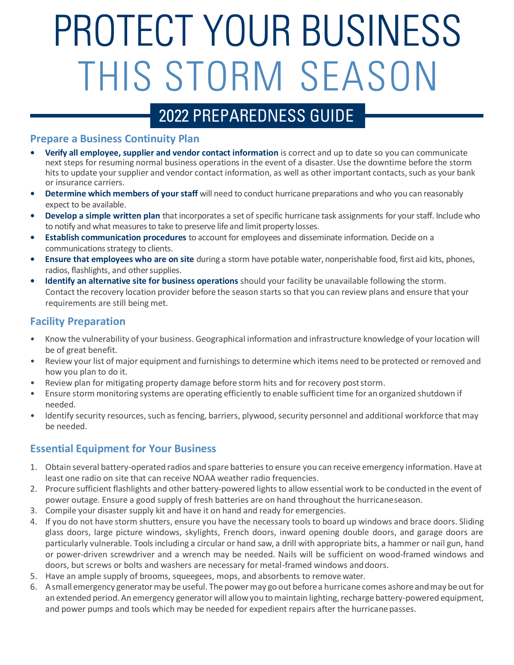# PROTECT YOUR BUSINESS THIS STORM SEASON

# 2022 PREPAREDNESS GUIDE

#### **Prepare a Business Continuity Plan**

- **• Verify all employee, supplier and vendor contact information** is correct and up to date so you can communicate next steps for resuming normal business operations in the event of a disaster. Use the downtime before the storm hits to update your supplier and vendor contact information, as well as other important contacts, such as your bank or insurance carriers.
- **•** Determine which members of your staff will need to conduct hurricane preparations and who you can reasonably expect to be available.
- **• Develop a simple written plan** that incorporates a set of specific hurricane task assignments for your staff. Include who to notify and what measures to take to preserve life and limit property losses.
- **• Establish communication procedures** to account for employees and disseminate information. Decide on a communications strategy to clients.
- **• Ensure that employees who are on site** during a storm have potable water, nonperishable food, first aid kits, phones, radios, flashlights, and other supplies.
- **• Identify an alternative site for business operations** should your facility be unavailable following the storm. Contact the recovery location provider before the season starts so that you can review plans and ensure that your requirements are still being met.

#### **Facility Preparation**

- Know the vulnerability of your business. Geographical information and infrastructure knowledge of yourlocation will be of great benefit.
- Review your list of major equipment and furnishings to determine which items need to be protected or removed and how you plan to do it.
- Review plan for mitigating property damage before storm hits and for recovery poststorm.
- Ensure storm monitoring systems are operating efficiently to enable sufficient time for an organized shutdown if needed.
- Identify security resources, such as fencing, barriers, plywood, security personnel and additional workforce that may be needed.

#### **Essential Equipment for Your Business**

- 1. Obtain several battery-operated radios and spare batteriesto ensure you can receive emergency information. Have at least one radio on site that can receive NOAA weather radio frequencies.
- 2. Procure sufficient flashlights and other battery-powered lightsto allow essential work to be conducted in the event of power outage. Ensure a good supply of fresh batteries are on hand throughout the hurricaneseason.
- 3. Compile your disaster supply kit and have it on hand and ready for emergencies.
- 4. If you do not have storm shutters, ensure you have the necessary tools to board up windows and brace doors. Sliding glass doors, large picture windows, skylights, French doors, inward opening double doors, and garage doors are particularly vulnerable. Tools including a circular or hand saw, a drill with appropriate bits, a hammer or nail gun, hand or power-driven screwdriver and a wrench may be needed. Nails will be sufficient on wood-framed windows and doors, but screws or bolts and washers are necessary for metal-framed windows anddoors.
- 5. Have an ample supply of brooms, squeegees, mops, and absorbents to removewater.
- 6. Asmall emergency generatormay be useful. The power may go out beforea hurricane comes ashore andmay be out for an extended period. An emergency generator will allow you to maintain lighting, recharge battery-powered equipment, and power pumps and tools which may be needed for expedient repairs after the hurricanepasses.